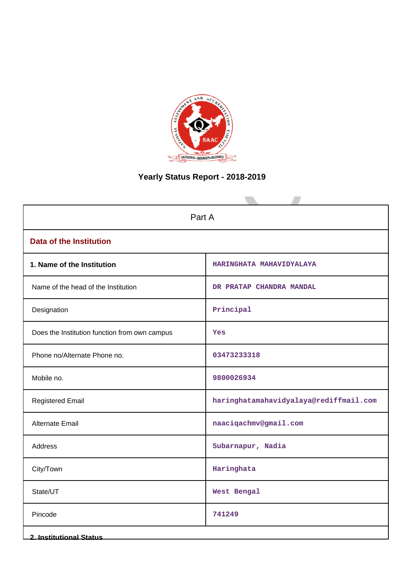

# **Yearly Status Report - 2018-2019**

| Part A                                        |                                        |  |  |  |
|-----------------------------------------------|----------------------------------------|--|--|--|
| <b>Data of the Institution</b>                |                                        |  |  |  |
| 1. Name of the Institution                    | HARINGHATA MAHAVIDYALAYA               |  |  |  |
| Name of the head of the Institution           | DR PRATAP CHANDRA MANDAL               |  |  |  |
| Designation                                   | Principal                              |  |  |  |
| Does the Institution function from own campus | Yes                                    |  |  |  |
| Phone no/Alternate Phone no.                  | 03473233318                            |  |  |  |
| Mobile no.                                    | 9800026934                             |  |  |  |
| <b>Registered Email</b>                       | haringhatamahavidyalaya@rediffmail.com |  |  |  |
| Alternate Email                               | naaciqachmv@gmail.com                  |  |  |  |
| Address                                       | Subarnapur, Nadia                      |  |  |  |
| City/Town                                     | Haringhata                             |  |  |  |
| State/UT                                      | West Bengal                            |  |  |  |
| Pincode                                       | 741249                                 |  |  |  |
| <b>2. Institutional Status</b>                |                                        |  |  |  |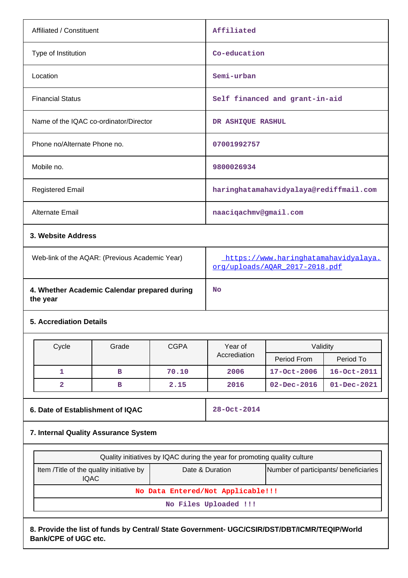| Affiliated / Constituent                                 |                    |             | Affiliated                                                                                                                            |                                        |                   |  |
|----------------------------------------------------------|--------------------|-------------|---------------------------------------------------------------------------------------------------------------------------------------|----------------------------------------|-------------------|--|
| Type of Institution                                      |                    |             |                                                                                                                                       | Co-education                           |                   |  |
| Location                                                 |                    |             | Semi-urban                                                                                                                            |                                        |                   |  |
| <b>Financial Status</b>                                  |                    |             |                                                                                                                                       | Self financed and grant-in-aid         |                   |  |
| Name of the IQAC co-ordinator/Director                   |                    |             | DR ASHIQUE RASHUL                                                                                                                     |                                        |                   |  |
| Phone no/Alternate Phone no.                             |                    |             | 07001992757                                                                                                                           |                                        |                   |  |
| Mobile no.                                               |                    |             | 9800026934                                                                                                                            |                                        |                   |  |
| <b>Registered Email</b>                                  |                    |             |                                                                                                                                       | haringhatamahavidyalaya@rediffmail.com |                   |  |
| Alternate Email                                          |                    |             | naaciqachmv@gmail.com                                                                                                                 |                                        |                   |  |
|                                                          | 3. Website Address |             |                                                                                                                                       |                                        |                   |  |
| Web-link of the AQAR: (Previous Academic Year)           |                    |             | https://www.haringhatamahavidyalaya.<br>org/uploads/AQAR_2017-2018.pdf                                                                |                                        |                   |  |
| 4. Whether Academic Calendar prepared during<br>the year |                    |             | No                                                                                                                                    |                                        |                   |  |
| <b>5. Accrediation Details</b>                           |                    |             |                                                                                                                                       |                                        |                   |  |
| Cycle                                                    | Grade              | <b>CGPA</b> | Year of                                                                                                                               | Validity                               |                   |  |
|                                                          |                    |             | Accrediation                                                                                                                          | Period From                            | Period To         |  |
| 1                                                        | в                  | 70.10       | 2006                                                                                                                                  | 17-Oct-2006                            | 16-Oct-2011       |  |
| $\overline{\mathbf{2}}$                                  | в                  | 2.15        | 2016                                                                                                                                  | $02 - Dec - 2016$                      | $01 - Dec - 2021$ |  |
| 6. Date of Establishment of IQAC                         |                    |             | 28-Oct-2014                                                                                                                           |                                        |                   |  |
| 7. Internal Quality Assurance System                     |                    |             |                                                                                                                                       |                                        |                   |  |
|                                                          |                    |             |                                                                                                                                       |                                        |                   |  |
| Item /Title of the quality initiative by<br><b>IQAC</b>  |                    |             | Quality initiatives by IQAC during the year for promoting quality culture<br>Date & Duration<br>Number of participants/ beneficiaries |                                        |                   |  |
|                                                          |                    |             | No Data Entered/Not Applicable!!!                                                                                                     |                                        |                   |  |
|                                                          |                    |             | No Files Uploaded !!!                                                                                                                 |                                        |                   |  |
|                                                          |                    |             |                                                                                                                                       |                                        |                   |  |

**8. Provide the list of funds by Central/ State Government- UGC/CSIR/DST/DBT/ICMR/TEQIP/World Bank/CPE of UGC etc.**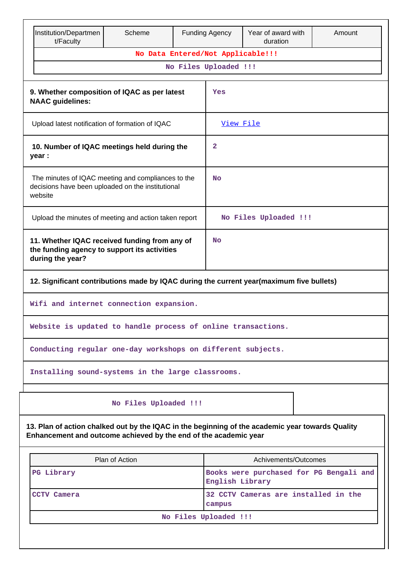| Institution/Departmen<br>t/Faculty                                                                                | Scheme                                                                                                                                                               |  | <b>Funding Agency</b>                                      | Year of award with<br>duration | Amount                |  |  |
|-------------------------------------------------------------------------------------------------------------------|----------------------------------------------------------------------------------------------------------------------------------------------------------------------|--|------------------------------------------------------------|--------------------------------|-----------------------|--|--|
|                                                                                                                   | No Data Entered/Not Applicable!!!                                                                                                                                    |  |                                                            |                                |                       |  |  |
|                                                                                                                   |                                                                                                                                                                      |  | No Files Uploaded !!!                                      |                                |                       |  |  |
| 9. Whether composition of IQAC as per latest<br><b>NAAC</b> guidelines:                                           |                                                                                                                                                                      |  | Yes                                                        |                                |                       |  |  |
|                                                                                                                   | Upload latest notification of formation of IQAC                                                                                                                      |  |                                                            |                                |                       |  |  |
| 10. Number of IQAC meetings held during the<br>year :                                                             |                                                                                                                                                                      |  | $\mathbf{2}$                                               |                                |                       |  |  |
| website                                                                                                           | The minutes of IQAC meeting and compliances to the<br>decisions have been uploaded on the institutional                                                              |  |                                                            |                                |                       |  |  |
|                                                                                                                   | Upload the minutes of meeting and action taken report                                                                                                                |  |                                                            |                                | No Files Uploaded !!! |  |  |
| 11. Whether IQAC received funding from any of<br>the funding agency to support its activities<br>during the year? |                                                                                                                                                                      |  | No                                                         |                                |                       |  |  |
| 12. Significant contributions made by IQAC during the current year(maximum five bullets)                          |                                                                                                                                                                      |  |                                                            |                                |                       |  |  |
| Wifi and internet connection expansion.                                                                           |                                                                                                                                                                      |  |                                                            |                                |                       |  |  |
| Website is updated to handle process of online transactions.                                                      |                                                                                                                                                                      |  |                                                            |                                |                       |  |  |
| Conducting regular one-day workshops on different subjects.                                                       |                                                                                                                                                                      |  |                                                            |                                |                       |  |  |
| Installing sound-systems in the large classrooms.                                                                 |                                                                                                                                                                      |  |                                                            |                                |                       |  |  |
|                                                                                                                   | No Files Uploaded !!!                                                                                                                                                |  |                                                            |                                |                       |  |  |
|                                                                                                                   | 13. Plan of action chalked out by the IQAC in the beginning of the academic year towards Quality<br>Enhancement and outcome achieved by the end of the academic year |  |                                                            |                                |                       |  |  |
|                                                                                                                   | Plan of Action                                                                                                                                                       |  |                                                            | Achivements/Outcomes           |                       |  |  |
| PG Library                                                                                                        |                                                                                                                                                                      |  | Books were purchased for PG Bengali and<br>English Library |                                |                       |  |  |
| 32 CCTV Cameras are installed in the<br>CCTV Camera<br>campus                                                     |                                                                                                                                                                      |  |                                                            |                                |                       |  |  |

|  | No Files Uploaded !!! |  |
|--|-----------------------|--|
|  |                       |  |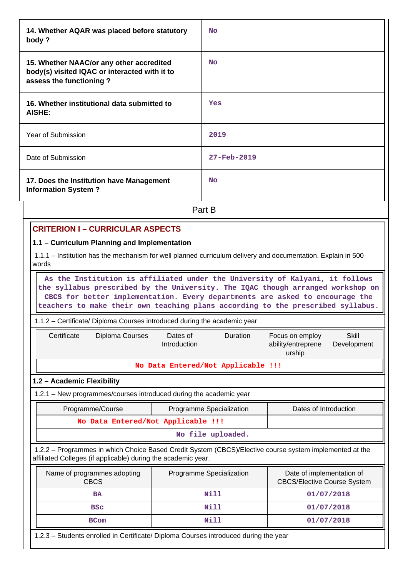| 14. Whether AQAR was placed before statutory<br>body?                                                                | No          |
|----------------------------------------------------------------------------------------------------------------------|-------------|
| 15. Whether NAAC/or any other accredited<br>body(s) visited IQAC or interacted with it to<br>assess the functioning? | <b>No</b>   |
| 16. Whether institutional data submitted to<br>AISHE:                                                                | Yes         |
| Year of Submission                                                                                                   | 2019        |
| Date of Submission                                                                                                   | 27-Feb-2019 |
| 17. Does the Institution have Management<br><b>Information System?</b>                                               | <b>No</b>   |
|                                                                                                                      | Part B      |

# **CRITERION I – CURRICULAR ASPECTS**

## **1.1 – Curriculum Planning and Implementation**

 1.1.1 – Institution has the mechanism for well planned curriculum delivery and documentation. Explain in 500 words

 **As the Institution is affiliated under the University of Kalyani, it follows the syllabus prescribed by the University. The IQAC though arranged workshop on CBCS for better implementation. Every departments are asked to encourage the teachers to make their own teaching plans according to the prescribed syllabus.**

#### 1.1.2 – Certificate/ Diploma Courses introduced during the academic year

| Certificate | Diploma Courses | Dates of<br>Introduction | <b>Duration</b>                    | Focus on employ<br>ability/entreprene<br>urship | Skill<br>Development |
|-------------|-----------------|--------------------------|------------------------------------|-------------------------------------------------|----------------------|
|             |                 |                          | No Data Entered/Not Applicable !!! |                                                 |                      |

#### **1.2 – Academic Flexibility**

1.2.1 – New programmes/courses introduced during the academic year

| Programme/Course                   | Programme Specialization | Dates of Introduction |
|------------------------------------|--------------------------|-----------------------|
| No Data Entered/Not Applicable !!! |                          |                       |
|                                    |                          |                       |

 1.2.2 – Programmes in which Choice Based Credit System (CBCS)/Elective course system implemented at the affiliated Colleges (if applicable) during the academic year.

| Name of programmes adopting<br><b>CBCS</b> | Programme Specialization | Date of implementation of<br><b>CBCS/Elective Course System</b> |
|--------------------------------------------|--------------------------|-----------------------------------------------------------------|
| <b>BA</b>                                  | Nill                     | 01/07/2018                                                      |
| <b>BSC</b>                                 | Nill                     | 01/07/2018                                                      |
| <b>BCom</b>                                | Nill                     | 01/07/2018                                                      |

1.2.3 – Students enrolled in Certificate/ Diploma Courses introduced during the year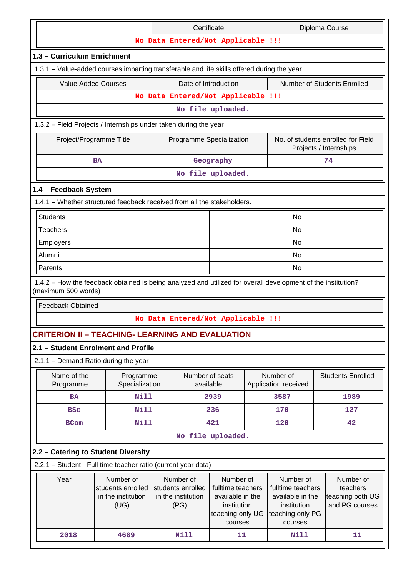| No Data Entered/Not Applicable !!!<br>1.3 - Curriculum Enrichment<br>1.3.1 - Value-added courses imparting transferable and life skills offered during the year<br><b>Number of Students Enrolled</b><br><b>Value Added Courses</b><br>Date of Introduction<br>No Data Entered/Not Applicable !!!<br>No file uploaded.<br>1.3.2 - Field Projects / Internships under taken during the year<br>No. of students enrolled for Field<br>Project/Programme Title<br>Programme Specialization<br>Projects / Internships<br>74<br>Geography<br><b>BA</b><br>No file uploaded.<br>1.4 - Feedback System<br>1.4.1 - Whether structured feedback received from all the stakeholders.<br><b>Students</b><br><b>No</b><br><b>Teachers</b><br>No<br>Employers<br><b>No</b><br>Alumni<br><b>No</b><br>No<br>Parents<br>1.4.2 - How the feedback obtained is being analyzed and utilized for overall development of the institution?<br>(maximum 500 words)<br><b>Feedback Obtained</b><br>No Data Entered/Not Applicable !!!<br><b>CRITERION II - TEACHING- LEARNING AND EVALUATION</b><br>2.1 - Student Enrolment and Profile<br>2.1.1 - Demand Ratio during the year<br>Number of seats<br>Number of<br><b>Students Enrolled</b><br>Name of the<br>Programme<br>Specialization<br>available<br>Programme<br>Application received<br><b>Nill</b><br>2939<br>3587<br>1989<br><b>BA</b><br>Nill<br>236<br>170<br>127<br><b>BSC</b><br>Nill<br>421<br>42<br>120<br><b>BCom</b><br>No file uploaded.<br>2.2 - Catering to Student Diversity<br>2.2.1 - Student - Full time teacher ratio (current year data)<br>Number of<br>Number of<br>Year<br>Number of<br>Number of<br>Number of<br>students enrolled<br>students enrolled<br>fulltime teachers<br>fulltime teachers<br>teachers<br>in the institution<br>available in the<br>teaching both UG<br>in the institution<br>available in the<br>(UG)<br>and PG courses<br>(PG)<br>institution<br>institution<br>teaching only UG<br>teaching only PG<br>courses<br>courses<br>2018<br>4689<br>Nill<br>Nill<br>11<br>11 |  |  | Certificate |  |  |  |  | Diploma Course |
|--------------------------------------------------------------------------------------------------------------------------------------------------------------------------------------------------------------------------------------------------------------------------------------------------------------------------------------------------------------------------------------------------------------------------------------------------------------------------------------------------------------------------------------------------------------------------------------------------------------------------------------------------------------------------------------------------------------------------------------------------------------------------------------------------------------------------------------------------------------------------------------------------------------------------------------------------------------------------------------------------------------------------------------------------------------------------------------------------------------------------------------------------------------------------------------------------------------------------------------------------------------------------------------------------------------------------------------------------------------------------------------------------------------------------------------------------------------------------------------------------------------------------------------------------------------------------------------------------------------------------------------------------------------------------------------------------------------------------------------------------------------------------------------------------------------------------------------------------------------------------------------------------------------------------------------------------------------------------------------------------------------------------------------------------------|--|--|-------------|--|--|--|--|----------------|
|                                                                                                                                                                                                                                                                                                                                                                                                                                                                                                                                                                                                                                                                                                                                                                                                                                                                                                                                                                                                                                                                                                                                                                                                                                                                                                                                                                                                                                                                                                                                                                                                                                                                                                                                                                                                                                                                                                                                                                                                                                                        |  |  |             |  |  |  |  |                |
|                                                                                                                                                                                                                                                                                                                                                                                                                                                                                                                                                                                                                                                                                                                                                                                                                                                                                                                                                                                                                                                                                                                                                                                                                                                                                                                                                                                                                                                                                                                                                                                                                                                                                                                                                                                                                                                                                                                                                                                                                                                        |  |  |             |  |  |  |  |                |
|                                                                                                                                                                                                                                                                                                                                                                                                                                                                                                                                                                                                                                                                                                                                                                                                                                                                                                                                                                                                                                                                                                                                                                                                                                                                                                                                                                                                                                                                                                                                                                                                                                                                                                                                                                                                                                                                                                                                                                                                                                                        |  |  |             |  |  |  |  |                |
|                                                                                                                                                                                                                                                                                                                                                                                                                                                                                                                                                                                                                                                                                                                                                                                                                                                                                                                                                                                                                                                                                                                                                                                                                                                                                                                                                                                                                                                                                                                                                                                                                                                                                                                                                                                                                                                                                                                                                                                                                                                        |  |  |             |  |  |  |  |                |
|                                                                                                                                                                                                                                                                                                                                                                                                                                                                                                                                                                                                                                                                                                                                                                                                                                                                                                                                                                                                                                                                                                                                                                                                                                                                                                                                                                                                                                                                                                                                                                                                                                                                                                                                                                                                                                                                                                                                                                                                                                                        |  |  |             |  |  |  |  |                |
|                                                                                                                                                                                                                                                                                                                                                                                                                                                                                                                                                                                                                                                                                                                                                                                                                                                                                                                                                                                                                                                                                                                                                                                                                                                                                                                                                                                                                                                                                                                                                                                                                                                                                                                                                                                                                                                                                                                                                                                                                                                        |  |  |             |  |  |  |  |                |
|                                                                                                                                                                                                                                                                                                                                                                                                                                                                                                                                                                                                                                                                                                                                                                                                                                                                                                                                                                                                                                                                                                                                                                                                                                                                                                                                                                                                                                                                                                                                                                                                                                                                                                                                                                                                                                                                                                                                                                                                                                                        |  |  |             |  |  |  |  |                |
|                                                                                                                                                                                                                                                                                                                                                                                                                                                                                                                                                                                                                                                                                                                                                                                                                                                                                                                                                                                                                                                                                                                                                                                                                                                                                                                                                                                                                                                                                                                                                                                                                                                                                                                                                                                                                                                                                                                                                                                                                                                        |  |  |             |  |  |  |  |                |
|                                                                                                                                                                                                                                                                                                                                                                                                                                                                                                                                                                                                                                                                                                                                                                                                                                                                                                                                                                                                                                                                                                                                                                                                                                                                                                                                                                                                                                                                                                                                                                                                                                                                                                                                                                                                                                                                                                                                                                                                                                                        |  |  |             |  |  |  |  |                |
|                                                                                                                                                                                                                                                                                                                                                                                                                                                                                                                                                                                                                                                                                                                                                                                                                                                                                                                                                                                                                                                                                                                                                                                                                                                                                                                                                                                                                                                                                                                                                                                                                                                                                                                                                                                                                                                                                                                                                                                                                                                        |  |  |             |  |  |  |  |                |
|                                                                                                                                                                                                                                                                                                                                                                                                                                                                                                                                                                                                                                                                                                                                                                                                                                                                                                                                                                                                                                                                                                                                                                                                                                                                                                                                                                                                                                                                                                                                                                                                                                                                                                                                                                                                                                                                                                                                                                                                                                                        |  |  |             |  |  |  |  |                |
|                                                                                                                                                                                                                                                                                                                                                                                                                                                                                                                                                                                                                                                                                                                                                                                                                                                                                                                                                                                                                                                                                                                                                                                                                                                                                                                                                                                                                                                                                                                                                                                                                                                                                                                                                                                                                                                                                                                                                                                                                                                        |  |  |             |  |  |  |  |                |
|                                                                                                                                                                                                                                                                                                                                                                                                                                                                                                                                                                                                                                                                                                                                                                                                                                                                                                                                                                                                                                                                                                                                                                                                                                                                                                                                                                                                                                                                                                                                                                                                                                                                                                                                                                                                                                                                                                                                                                                                                                                        |  |  |             |  |  |  |  |                |
|                                                                                                                                                                                                                                                                                                                                                                                                                                                                                                                                                                                                                                                                                                                                                                                                                                                                                                                                                                                                                                                                                                                                                                                                                                                                                                                                                                                                                                                                                                                                                                                                                                                                                                                                                                                                                                                                                                                                                                                                                                                        |  |  |             |  |  |  |  |                |
|                                                                                                                                                                                                                                                                                                                                                                                                                                                                                                                                                                                                                                                                                                                                                                                                                                                                                                                                                                                                                                                                                                                                                                                                                                                                                                                                                                                                                                                                                                                                                                                                                                                                                                                                                                                                                                                                                                                                                                                                                                                        |  |  |             |  |  |  |  |                |
|                                                                                                                                                                                                                                                                                                                                                                                                                                                                                                                                                                                                                                                                                                                                                                                                                                                                                                                                                                                                                                                                                                                                                                                                                                                                                                                                                                                                                                                                                                                                                                                                                                                                                                                                                                                                                                                                                                                                                                                                                                                        |  |  |             |  |  |  |  |                |
|                                                                                                                                                                                                                                                                                                                                                                                                                                                                                                                                                                                                                                                                                                                                                                                                                                                                                                                                                                                                                                                                                                                                                                                                                                                                                                                                                                                                                                                                                                                                                                                                                                                                                                                                                                                                                                                                                                                                                                                                                                                        |  |  |             |  |  |  |  |                |
|                                                                                                                                                                                                                                                                                                                                                                                                                                                                                                                                                                                                                                                                                                                                                                                                                                                                                                                                                                                                                                                                                                                                                                                                                                                                                                                                                                                                                                                                                                                                                                                                                                                                                                                                                                                                                                                                                                                                                                                                                                                        |  |  |             |  |  |  |  |                |
|                                                                                                                                                                                                                                                                                                                                                                                                                                                                                                                                                                                                                                                                                                                                                                                                                                                                                                                                                                                                                                                                                                                                                                                                                                                                                                                                                                                                                                                                                                                                                                                                                                                                                                                                                                                                                                                                                                                                                                                                                                                        |  |  |             |  |  |  |  |                |
|                                                                                                                                                                                                                                                                                                                                                                                                                                                                                                                                                                                                                                                                                                                                                                                                                                                                                                                                                                                                                                                                                                                                                                                                                                                                                                                                                                                                                                                                                                                                                                                                                                                                                                                                                                                                                                                                                                                                                                                                                                                        |  |  |             |  |  |  |  |                |
|                                                                                                                                                                                                                                                                                                                                                                                                                                                                                                                                                                                                                                                                                                                                                                                                                                                                                                                                                                                                                                                                                                                                                                                                                                                                                                                                                                                                                                                                                                                                                                                                                                                                                                                                                                                                                                                                                                                                                                                                                                                        |  |  |             |  |  |  |  |                |
|                                                                                                                                                                                                                                                                                                                                                                                                                                                                                                                                                                                                                                                                                                                                                                                                                                                                                                                                                                                                                                                                                                                                                                                                                                                                                                                                                                                                                                                                                                                                                                                                                                                                                                                                                                                                                                                                                                                                                                                                                                                        |  |  |             |  |  |  |  |                |
|                                                                                                                                                                                                                                                                                                                                                                                                                                                                                                                                                                                                                                                                                                                                                                                                                                                                                                                                                                                                                                                                                                                                                                                                                                                                                                                                                                                                                                                                                                                                                                                                                                                                                                                                                                                                                                                                                                                                                                                                                                                        |  |  |             |  |  |  |  |                |
|                                                                                                                                                                                                                                                                                                                                                                                                                                                                                                                                                                                                                                                                                                                                                                                                                                                                                                                                                                                                                                                                                                                                                                                                                                                                                                                                                                                                                                                                                                                                                                                                                                                                                                                                                                                                                                                                                                                                                                                                                                                        |  |  |             |  |  |  |  |                |
|                                                                                                                                                                                                                                                                                                                                                                                                                                                                                                                                                                                                                                                                                                                                                                                                                                                                                                                                                                                                                                                                                                                                                                                                                                                                                                                                                                                                                                                                                                                                                                                                                                                                                                                                                                                                                                                                                                                                                                                                                                                        |  |  |             |  |  |  |  |                |
|                                                                                                                                                                                                                                                                                                                                                                                                                                                                                                                                                                                                                                                                                                                                                                                                                                                                                                                                                                                                                                                                                                                                                                                                                                                                                                                                                                                                                                                                                                                                                                                                                                                                                                                                                                                                                                                                                                                                                                                                                                                        |  |  |             |  |  |  |  |                |
|                                                                                                                                                                                                                                                                                                                                                                                                                                                                                                                                                                                                                                                                                                                                                                                                                                                                                                                                                                                                                                                                                                                                                                                                                                                                                                                                                                                                                                                                                                                                                                                                                                                                                                                                                                                                                                                                                                                                                                                                                                                        |  |  |             |  |  |  |  |                |
|                                                                                                                                                                                                                                                                                                                                                                                                                                                                                                                                                                                                                                                                                                                                                                                                                                                                                                                                                                                                                                                                                                                                                                                                                                                                                                                                                                                                                                                                                                                                                                                                                                                                                                                                                                                                                                                                                                                                                                                                                                                        |  |  |             |  |  |  |  |                |
|                                                                                                                                                                                                                                                                                                                                                                                                                                                                                                                                                                                                                                                                                                                                                                                                                                                                                                                                                                                                                                                                                                                                                                                                                                                                                                                                                                                                                                                                                                                                                                                                                                                                                                                                                                                                                                                                                                                                                                                                                                                        |  |  |             |  |  |  |  |                |
|                                                                                                                                                                                                                                                                                                                                                                                                                                                                                                                                                                                                                                                                                                                                                                                                                                                                                                                                                                                                                                                                                                                                                                                                                                                                                                                                                                                                                                                                                                                                                                                                                                                                                                                                                                                                                                                                                                                                                                                                                                                        |  |  |             |  |  |  |  |                |
|                                                                                                                                                                                                                                                                                                                                                                                                                                                                                                                                                                                                                                                                                                                                                                                                                                                                                                                                                                                                                                                                                                                                                                                                                                                                                                                                                                                                                                                                                                                                                                                                                                                                                                                                                                                                                                                                                                                                                                                                                                                        |  |  |             |  |  |  |  |                |
|                                                                                                                                                                                                                                                                                                                                                                                                                                                                                                                                                                                                                                                                                                                                                                                                                                                                                                                                                                                                                                                                                                                                                                                                                                                                                                                                                                                                                                                                                                                                                                                                                                                                                                                                                                                                                                                                                                                                                                                                                                                        |  |  |             |  |  |  |  |                |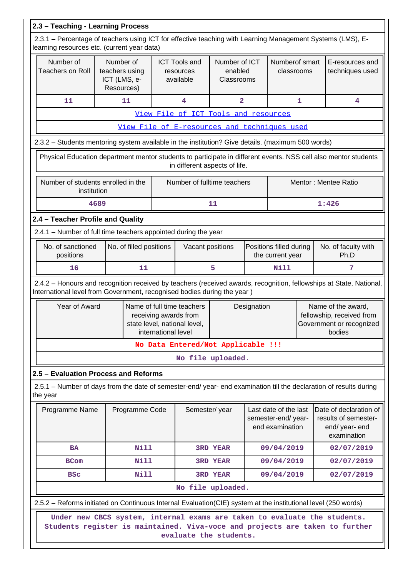| 2.3 - Teaching - Learning Process                                                                                                                                                              |                                                           |  |                                                                                                                           |                                                                                 |  |                                                                                       |                                                                                 |                                    |
|------------------------------------------------------------------------------------------------------------------------------------------------------------------------------------------------|-----------------------------------------------------------|--|---------------------------------------------------------------------------------------------------------------------------|---------------------------------------------------------------------------------|--|---------------------------------------------------------------------------------------|---------------------------------------------------------------------------------|------------------------------------|
| 2.3.1 – Percentage of teachers using ICT for effective teaching with Learning Management Systems (LMS), E-<br>learning resources etc. (current year data)                                      |                                                           |  |                                                                                                                           |                                                                                 |  |                                                                                       |                                                                                 |                                    |
| Number of<br><b>Teachers on Roll</b>                                                                                                                                                           | Number of<br>teachers using<br>ICT (LMS, e-<br>Resources) |  | <b>ICT Tools and</b><br>resources<br>available                                                                            | Number of ICT<br>enabled<br>Classrooms                                          |  | Numberof smart<br>classrooms                                                          |                                                                                 | E-resources and<br>techniques used |
| 11                                                                                                                                                                                             | 11                                                        |  | 4                                                                                                                         | $\overline{\mathbf{2}}$                                                         |  |                                                                                       | $\mathbf{1}$                                                                    | 4                                  |
|                                                                                                                                                                                                |                                                           |  | View File of ICT Tools and resources                                                                                      |                                                                                 |  |                                                                                       |                                                                                 |                                    |
|                                                                                                                                                                                                |                                                           |  | View File of E-resources and techniques used                                                                              |                                                                                 |  |                                                                                       |                                                                                 |                                    |
| 2.3.2 - Students mentoring system available in the institution? Give details. (maximum 500 words)                                                                                              |                                                           |  |                                                                                                                           |                                                                                 |  |                                                                                       |                                                                                 |                                    |
| Physical Education department mentor students to participate in different events. NSS cell also mentor students                                                                                |                                                           |  | in different aspects of life.                                                                                             |                                                                                 |  |                                                                                       |                                                                                 |                                    |
| Number of students enrolled in the<br>institution                                                                                                                                              |                                                           |  | Number of fulltime teachers                                                                                               |                                                                                 |  |                                                                                       |                                                                                 | Mentor: Mentee Ratio               |
| 4689                                                                                                                                                                                           |                                                           |  |                                                                                                                           | 11                                                                              |  |                                                                                       |                                                                                 | 1:426                              |
| 2.4 - Teacher Profile and Quality                                                                                                                                                              |                                                           |  |                                                                                                                           |                                                                                 |  |                                                                                       |                                                                                 |                                    |
| 2.4.1 - Number of full time teachers appointed during the year                                                                                                                                 |                                                           |  |                                                                                                                           |                                                                                 |  |                                                                                       |                                                                                 |                                    |
| No. of sanctioned<br>positions                                                                                                                                                                 | No. of filled positions                                   |  | Vacant positions                                                                                                          |                                                                                 |  | Positions filled during<br>the current year                                           |                                                                                 | No. of faculty with<br>Ph.D        |
| 16                                                                                                                                                                                             | 11                                                        |  |                                                                                                                           | 5                                                                               |  | Nill                                                                                  |                                                                                 | 7                                  |
| 2.4.2 - Honours and recognition received by teachers (received awards, recognition, fellowships at State, National,<br>International level from Government, recognised bodies during the year) |                                                           |  |                                                                                                                           |                                                                                 |  |                                                                                       |                                                                                 |                                    |
| Year of Award                                                                                                                                                                                  |                                                           |  | Name of full time teachers<br>Designation<br>receiving awards from<br>state level, national level,<br>international level |                                                                                 |  | Name of the award,<br>fellowship, received from<br>Government or recognized<br>bodies |                                                                                 |                                    |
|                                                                                                                                                                                                |                                                           |  | No Data Entered/Not Applicable !!!                                                                                        |                                                                                 |  |                                                                                       |                                                                                 |                                    |
|                                                                                                                                                                                                |                                                           |  |                                                                                                                           | No file uploaded.                                                               |  |                                                                                       |                                                                                 |                                    |
| 2.5 - Evaluation Process and Reforms                                                                                                                                                           |                                                           |  |                                                                                                                           |                                                                                 |  |                                                                                       |                                                                                 |                                    |
| 2.5.1 – Number of days from the date of semester-end/ year- end examination till the declaration of results during<br>the year                                                                 |                                                           |  |                                                                                                                           |                                                                                 |  |                                                                                       |                                                                                 |                                    |
| Programme Name                                                                                                                                                                                 | Programme Code                                            |  |                                                                                                                           | Last date of the last<br>Semester/year<br>semester-end/year-<br>end examination |  |                                                                                       | Date of declaration of<br>results of semester-<br>end/ year- end<br>examination |                                    |
| <b>BA</b>                                                                                                                                                                                      | <b>Nill</b>                                               |  |                                                                                                                           | <b>3RD YEAR</b>                                                                 |  | 09/04/2019                                                                            |                                                                                 | 02/07/2019                         |
| <b>BCom</b>                                                                                                                                                                                    | <b>Nill</b>                                               |  |                                                                                                                           | <b>3RD YEAR</b>                                                                 |  | 09/04/2019                                                                            |                                                                                 | 02/07/2019                         |
| <b>BSC</b>                                                                                                                                                                                     | Nill                                                      |  |                                                                                                                           | <b>3RD YEAR</b>                                                                 |  | 09/04/2019                                                                            |                                                                                 | 02/07/2019                         |
|                                                                                                                                                                                                | No file uploaded.                                         |  |                                                                                                                           |                                                                                 |  |                                                                                       |                                                                                 |                                    |
| 2.5.2 – Reforms initiated on Continuous Internal Evaluation (CIE) system at the institutional level (250 words)                                                                                |                                                           |  |                                                                                                                           |                                                                                 |  |                                                                                       |                                                                                 |                                    |
| Under new CBCS system, internal exams are taken to evaluate the students.<br>Students register is maintained. Viva-voce and projects are taken to further<br>evaluate the students.            |                                                           |  |                                                                                                                           |                                                                                 |  |                                                                                       |                                                                                 |                                    |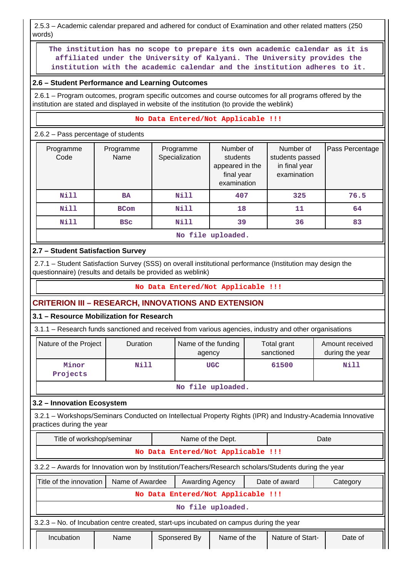2.5.3 – Academic calendar prepared and adhered for conduct of Examination and other related matters (250 words)

 **The institution has no scope to prepare its own academic calendar as it is affiliated under the University of Kalyani. The University provides the institution with the academic calendar and the institution adheres to it.**

## **2.6 – Student Performance and Learning Outcomes**

 2.6.1 – Program outcomes, program specific outcomes and course outcomes for all programs offered by the institution are stated and displayed in website of the institution (to provide the weblink)

#### **No Data Entered/Not Applicable !!!**

2.6.2 – Pass percentage of students

| Programme<br>Code | Programme<br>Name | Programme<br>Specialization | Number of<br>students<br>appeared in the<br>final year<br>examination | Number of<br>students passed<br>in final year<br>examination | Pass Percentage |  |  |
|-------------------|-------------------|-----------------------------|-----------------------------------------------------------------------|--------------------------------------------------------------|-----------------|--|--|
| Nill              | <b>BA</b>         | Nill                        | 407                                                                   | 325                                                          | 76.5            |  |  |
| <b>Nill</b>       | <b>BCom</b>       | Nill                        | 18                                                                    | 11                                                           | 64              |  |  |
| <b>Nill</b>       | <b>BSC</b>        | Nill                        | 39                                                                    | 36                                                           | 83              |  |  |
| No file uploaded. |                   |                             |                                                                       |                                                              |                 |  |  |

# **2.7 – Student Satisfaction Survey**

 2.7.1 – Student Satisfaction Survey (SSS) on overall institutional performance (Institution may design the questionnaire) (results and details be provided as weblink)

## **No Data Entered/Not Applicable !!!**

## **CRITERION III – RESEARCH, INNOVATIONS AND EXTENSION**

## **3.1 – Resource Mobilization for Research**

3.1.1 – Research funds sanctioned and received from various agencies, industry and other organisations

| Nature of the Project | <b>Duration</b> | Name of the funding<br>agency | Total grant<br>sanctioned | Amount received<br>during the year |  |  |
|-----------------------|-----------------|-------------------------------|---------------------------|------------------------------------|--|--|
| Minor<br>Projects     | Nill            | <b>UGC</b>                    | 61500                     | Nill                               |  |  |
| $M_2$ file unlooded   |                 |                               |                           |                                    |  |  |

#### **No file uploaded.**

# **3.2 – Innovation Ecosystem**

 3.2.1 – Workshops/Seminars Conducted on Intellectual Property Rights (IPR) and Industry-Academia Innovative practices during the year

| Title of workshop/seminar                                                                            |                 | Name of the Dept.      |                   |  | Date             |          |  |  |  |  |
|------------------------------------------------------------------------------------------------------|-----------------|------------------------|-------------------|--|------------------|----------|--|--|--|--|
| No Data Entered/Not Applicable !!!                                                                   |                 |                        |                   |  |                  |          |  |  |  |  |
| 3.2.2 - Awards for Innovation won by Institution/Teachers/Research scholars/Students during the year |                 |                        |                   |  |                  |          |  |  |  |  |
| Title of the innovation                                                                              | Name of Awardee | <b>Awarding Agency</b> | Date of award     |  |                  | Category |  |  |  |  |
| No Data Entered/Not Applicable !!!                                                                   |                 |                        |                   |  |                  |          |  |  |  |  |
|                                                                                                      |                 |                        | No file uploaded. |  |                  |          |  |  |  |  |
| 3.2.3 – No. of Incubation centre created, start-ups incubated on campus during the year              |                 |                        |                   |  |                  |          |  |  |  |  |
| Incubation                                                                                           | Name            | Sponsered By           | Name of the       |  | Nature of Start- | Date of  |  |  |  |  |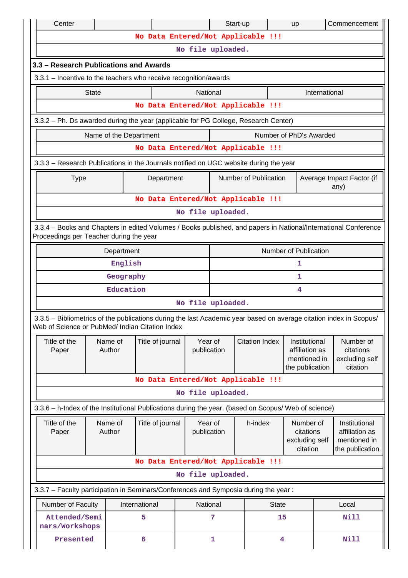| Center                                                                                                                                                                |                       |           |                        |                        | Start-up     |                                    | up                                                                 |               | Commencement                                                       |  |  |
|-----------------------------------------------------------------------------------------------------------------------------------------------------------------------|-----------------------|-----------|------------------------|------------------------|--------------|------------------------------------|--------------------------------------------------------------------|---------------|--------------------------------------------------------------------|--|--|
|                                                                                                                                                                       |                       |           |                        |                        |              | No Data Entered/Not Applicable !!! |                                                                    |               |                                                                    |  |  |
|                                                                                                                                                                       |                       |           |                        | No file uploaded.      |              |                                    |                                                                    |               |                                                                    |  |  |
| 3.3 - Research Publications and Awards                                                                                                                                |                       |           |                        |                        |              |                                    |                                                                    |               |                                                                    |  |  |
| 3.3.1 - Incentive to the teachers who receive recognition/awards                                                                                                      |                       |           |                        |                        |              |                                    |                                                                    |               |                                                                    |  |  |
|                                                                                                                                                                       | <b>State</b>          |           |                        | National               |              |                                    |                                                                    | International |                                                                    |  |  |
|                                                                                                                                                                       |                       |           |                        |                        |              | No Data Entered/Not Applicable !!! |                                                                    |               |                                                                    |  |  |
| 3.3.2 - Ph. Ds awarded during the year (applicable for PG College, Research Center)                                                                                   |                       |           |                        |                        |              |                                    |                                                                    |               |                                                                    |  |  |
|                                                                                                                                                                       |                       |           | Name of the Department |                        |              |                                    | Number of PhD's Awarded                                            |               |                                                                    |  |  |
|                                                                                                                                                                       |                       |           |                        |                        |              | No Data Entered/Not Applicable !!! |                                                                    |               |                                                                    |  |  |
| 3.3.3 - Research Publications in the Journals notified on UGC website during the year                                                                                 |                       |           |                        |                        |              |                                    |                                                                    |               |                                                                    |  |  |
| <b>Type</b>                                                                                                                                                           |                       |           | Department             |                        |              | Number of Publication              |                                                                    |               | Average Impact Factor (if<br>any)                                  |  |  |
|                                                                                                                                                                       |                       |           |                        |                        |              | No Data Entered/Not Applicable !!! |                                                                    |               |                                                                    |  |  |
| No file uploaded.                                                                                                                                                     |                       |           |                        |                        |              |                                    |                                                                    |               |                                                                    |  |  |
| 3.3.4 – Books and Chapters in edited Volumes / Books published, and papers in National/International Conference<br>Proceedings per Teacher during the year            |                       |           |                        |                        |              |                                    |                                                                    |               |                                                                    |  |  |
|                                                                                                                                                                       | Number of Publication |           |                        |                        |              |                                    |                                                                    |               |                                                                    |  |  |
|                                                                                                                                                                       |                       | English   |                        |                        |              |                                    | 1                                                                  |               |                                                                    |  |  |
|                                                                                                                                                                       |                       | Geography |                        |                        |              |                                    | 1                                                                  |               |                                                                    |  |  |
|                                                                                                                                                                       |                       | Education |                        |                        |              |                                    | 4                                                                  |               |                                                                    |  |  |
|                                                                                                                                                                       |                       |           |                        | No file uploaded.      |              |                                    |                                                                    |               |                                                                    |  |  |
| 3.3.5 - Bibliometrics of the publications during the last Academic year based on average citation index in Scopus/<br>Web of Science or PubMed/ Indian Citation Index |                       |           |                        |                        |              |                                    |                                                                    |               |                                                                    |  |  |
| Title of the<br>Paper                                                                                                                                                 | Name of<br>Author     |           | Title of journal       | Year of<br>publication |              | <b>Citation Index</b>              | Institutional<br>affiliation as<br>mentioned in<br>the publication |               | Number of<br>citations<br>excluding self<br>citation               |  |  |
|                                                                                                                                                                       |                       |           |                        |                        |              | No Data Entered/Not Applicable !!! |                                                                    |               |                                                                    |  |  |
|                                                                                                                                                                       |                       |           |                        | No file uploaded.      |              |                                    |                                                                    |               |                                                                    |  |  |
| 3.3.6 - h-Index of the Institutional Publications during the year. (based on Scopus/ Web of science)                                                                  |                       |           |                        |                        |              |                                    |                                                                    |               |                                                                    |  |  |
| Title of the<br>Paper                                                                                                                                                 | Name of<br>Author     |           | Title of journal       | Year of<br>publication |              | h-index                            | Number of<br>citations<br>excluding self<br>citation               |               | Institutional<br>affiliation as<br>mentioned in<br>the publication |  |  |
|                                                                                                                                                                       |                       |           |                        |                        |              | No Data Entered/Not Applicable !!! |                                                                    |               |                                                                    |  |  |
|                                                                                                                                                                       |                       |           |                        | No file uploaded.      |              |                                    |                                                                    |               |                                                                    |  |  |
| 3.3.7 - Faculty participation in Seminars/Conferences and Symposia during the year:                                                                                   |                       |           |                        |                        |              |                                    |                                                                    |               |                                                                    |  |  |
| Number of Faculty                                                                                                                                                     |                       |           | International          | National               |              | <b>State</b>                       |                                                                    |               | Local                                                              |  |  |
| Attended/Semi<br>nars/Workshops                                                                                                                                       |                       |           | 5                      |                        | 7            |                                    | 15                                                                 | <b>Nill</b>   |                                                                    |  |  |
| Presented                                                                                                                                                             |                       |           | 6                      |                        | $\mathbf{1}$ |                                    | 4                                                                  |               | Nill                                                               |  |  |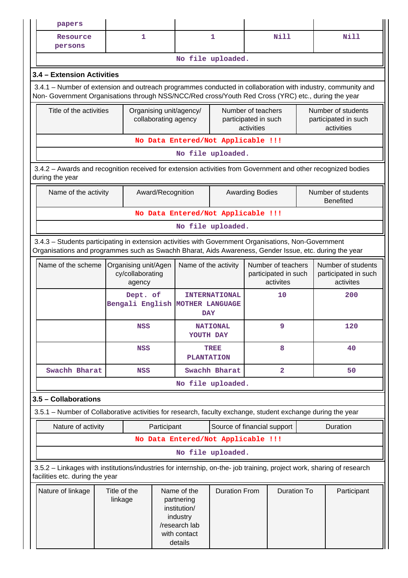|                                                                                                                                                                                                                | papers                                                                                                                                                                                                             |                                                                          |              |                                                 |                                                                                                                           |                                          |                                                          |                                                         |  |                                                          |  |  |
|----------------------------------------------------------------------------------------------------------------------------------------------------------------------------------------------------------------|--------------------------------------------------------------------------------------------------------------------------------------------------------------------------------------------------------------------|--------------------------------------------------------------------------|--------------|-------------------------------------------------|---------------------------------------------------------------------------------------------------------------------------|------------------------------------------|----------------------------------------------------------|---------------------------------------------------------|--|----------------------------------------------------------|--|--|
|                                                                                                                                                                                                                | Resource<br>persons                                                                                                                                                                                                |                                                                          | 1            |                                                 |                                                                                                                           | 1                                        |                                                          | Nill                                                    |  | N <sub>i</sub> 11                                        |  |  |
|                                                                                                                                                                                                                |                                                                                                                                                                                                                    |                                                                          |              |                                                 |                                                                                                                           | No file uploaded.                        |                                                          |                                                         |  |                                                          |  |  |
|                                                                                                                                                                                                                | 3.4 - Extension Activities                                                                                                                                                                                         |                                                                          |              |                                                 |                                                                                                                           |                                          |                                                          |                                                         |  |                                                          |  |  |
|                                                                                                                                                                                                                | 3.4.1 - Number of extension and outreach programmes conducted in collaboration with industry, community and<br>Non- Government Organisations through NSS/NCC/Red cross/Youth Red Cross (YRC) etc., during the year |                                                                          |              |                                                 |                                                                                                                           |                                          |                                                          |                                                         |  |                                                          |  |  |
|                                                                                                                                                                                                                | Title of the activities                                                                                                                                                                                            |                                                                          |              | Organising unit/agency/<br>collaborating agency |                                                                                                                           |                                          | Number of teachers<br>participated in such<br>activities |                                                         |  | Number of students<br>participated in such<br>activities |  |  |
|                                                                                                                                                                                                                |                                                                                                                                                                                                                    |                                                                          |              |                                                 | No Data Entered/Not Applicable !!!                                                                                        |                                          |                                                          |                                                         |  |                                                          |  |  |
|                                                                                                                                                                                                                |                                                                                                                                                                                                                    |                                                                          |              |                                                 |                                                                                                                           | No file uploaded.                        |                                                          |                                                         |  |                                                          |  |  |
| 3.4.2 - Awards and recognition received for extension activities from Government and other recognized bodies<br>during the year                                                                                |                                                                                                                                                                                                                    |                                                                          |              |                                                 |                                                                                                                           |                                          |                                                          |                                                         |  |                                                          |  |  |
|                                                                                                                                                                                                                | Name of the activity                                                                                                                                                                                               |                                                                          |              | Award/Recognition                               |                                                                                                                           |                                          | <b>Awarding Bodies</b>                                   |                                                         |  | Number of students<br><b>Benefited</b>                   |  |  |
|                                                                                                                                                                                                                |                                                                                                                                                                                                                    |                                                                          |              |                                                 | No Data Entered/Not Applicable !!!                                                                                        |                                          |                                                          |                                                         |  |                                                          |  |  |
|                                                                                                                                                                                                                | No file uploaded.                                                                                                                                                                                                  |                                                                          |              |                                                 |                                                                                                                           |                                          |                                                          |                                                         |  |                                                          |  |  |
| 3.4.3 - Students participating in extension activities with Government Organisations, Non-Government<br>Organisations and programmes such as Swachh Bharat, Aids Awareness, Gender Issue, etc. during the year |                                                                                                                                                                                                                    |                                                                          |              |                                                 |                                                                                                                           |                                          |                                                          |                                                         |  |                                                          |  |  |
|                                                                                                                                                                                                                |                                                                                                                                                                                                                    | Name of the scheme<br>Organising unit/Agen<br>cy/collaborating<br>agency |              |                                                 |                                                                                                                           | Name of the activity                     |                                                          | Number of teachers<br>participated in such<br>activites |  | Number of students<br>participated in such<br>activites  |  |  |
|                                                                                                                                                                                                                |                                                                                                                                                                                                                    |                                                                          | Dept. of     | Bengali English MOTHER LANGUAGE                 |                                                                                                                           | 10<br><b>INTERNATIONAL</b><br><b>DAY</b> |                                                          |                                                         |  | 200                                                      |  |  |
|                                                                                                                                                                                                                |                                                                                                                                                                                                                    |                                                                          | <b>NSS</b>   |                                                 |                                                                                                                           | 9<br><b>NATIONAL</b><br>YOUTH DAY        |                                                          |                                                         |  | 120                                                      |  |  |
|                                                                                                                                                                                                                |                                                                                                                                                                                                                    |                                                                          | <b>NSS</b>   |                                                 | <b>PLANTATION</b>                                                                                                         | 8<br>TREE                                |                                                          |                                                         |  | 40                                                       |  |  |
|                                                                                                                                                                                                                | Swachh Bharat                                                                                                                                                                                                      |                                                                          | <b>NSS</b>   |                                                 |                                                                                                                           | Swachh Bharat                            | $\overline{a}$                                           |                                                         |  | 50                                                       |  |  |
|                                                                                                                                                                                                                |                                                                                                                                                                                                                    |                                                                          |              |                                                 |                                                                                                                           | No file uploaded.                        |                                                          |                                                         |  |                                                          |  |  |
|                                                                                                                                                                                                                | 3.5 - Collaborations                                                                                                                                                                                               |                                                                          |              |                                                 |                                                                                                                           |                                          |                                                          |                                                         |  |                                                          |  |  |
|                                                                                                                                                                                                                | 3.5.1 – Number of Collaborative activities for research, faculty exchange, student exchange during the year                                                                                                        |                                                                          |              |                                                 |                                                                                                                           |                                          |                                                          |                                                         |  |                                                          |  |  |
|                                                                                                                                                                                                                | Nature of activity                                                                                                                                                                                                 |                                                                          |              | Participant                                     |                                                                                                                           | Source of financial support              |                                                          |                                                         |  | Duration                                                 |  |  |
|                                                                                                                                                                                                                |                                                                                                                                                                                                                    |                                                                          |              |                                                 | No Data Entered/Not Applicable !!!                                                                                        |                                          |                                                          |                                                         |  |                                                          |  |  |
|                                                                                                                                                                                                                |                                                                                                                                                                                                                    |                                                                          |              |                                                 |                                                                                                                           | No file uploaded.                        |                                                          |                                                         |  |                                                          |  |  |
|                                                                                                                                                                                                                | 3.5.2 - Linkages with institutions/industries for internship, on-the- job training, project work, sharing of research<br>facilities etc. during the year                                                           |                                                                          |              |                                                 |                                                                                                                           |                                          |                                                          |                                                         |  |                                                          |  |  |
|                                                                                                                                                                                                                | Nature of linkage<br>linkage                                                                                                                                                                                       |                                                                          | Title of the |                                                 | Name of the<br><b>Duration From</b><br>partnering<br>institution/<br>industry<br>/research lab<br>with contact<br>details |                                          |                                                          | <b>Duration To</b>                                      |  | Participant                                              |  |  |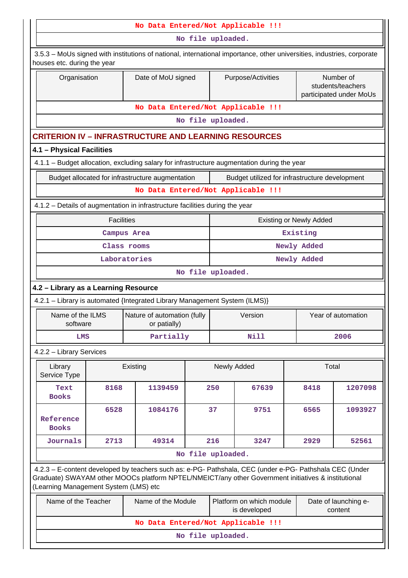|                                                                                                                    |                                                                                                                                                                                                   |                                                                                                                                                                                                                |                   |                                                                             | No Data Entered/Not Applicable !!! |             |                                                           |  |  |  |  |
|--------------------------------------------------------------------------------------------------------------------|---------------------------------------------------------------------------------------------------------------------------------------------------------------------------------------------------|----------------------------------------------------------------------------------------------------------------------------------------------------------------------------------------------------------------|-------------------|-----------------------------------------------------------------------------|------------------------------------|-------------|-----------------------------------------------------------|--|--|--|--|
|                                                                                                                    |                                                                                                                                                                                                   |                                                                                                                                                                                                                | No file uploaded. |                                                                             |                                    |             |                                                           |  |  |  |  |
| houses etc. during the year                                                                                        |                                                                                                                                                                                                   | 3.5.3 – MoUs signed with institutions of national, international importance, other universities, industries, corporate                                                                                         |                   |                                                                             |                                    |             |                                                           |  |  |  |  |
| Organisation                                                                                                       |                                                                                                                                                                                                   | Date of MoU signed                                                                                                                                                                                             |                   |                                                                             | Purpose/Activities                 |             | Number of<br>students/teachers<br>participated under MoUs |  |  |  |  |
|                                                                                                                    |                                                                                                                                                                                                   |                                                                                                                                                                                                                |                   |                                                                             | No Data Entered/Not Applicable !!! |             |                                                           |  |  |  |  |
|                                                                                                                    |                                                                                                                                                                                                   |                                                                                                                                                                                                                | No file uploaded. |                                                                             |                                    |             |                                                           |  |  |  |  |
|                                                                                                                    |                                                                                                                                                                                                   | <b>CRITERION IV - INFRASTRUCTURE AND LEARNING RESOURCES</b>                                                                                                                                                    |                   |                                                                             |                                    |             |                                                           |  |  |  |  |
| 4.1 - Physical Facilities                                                                                          |                                                                                                                                                                                                   |                                                                                                                                                                                                                |                   |                                                                             |                                    |             |                                                           |  |  |  |  |
|                                                                                                                    | 4.1.1 - Budget allocation, excluding salary for infrastructure augmentation during the year<br>Budget allocated for infrastructure augmentation<br>Budget utilized for infrastructure development |                                                                                                                                                                                                                |                   |                                                                             |                                    |             |                                                           |  |  |  |  |
|                                                                                                                    |                                                                                                                                                                                                   |                                                                                                                                                                                                                |                   |                                                                             |                                    |             |                                                           |  |  |  |  |
|                                                                                                                    |                                                                                                                                                                                                   |                                                                                                                                                                                                                |                   |                                                                             |                                    |             |                                                           |  |  |  |  |
| No Data Entered/Not Applicable !!!<br>4.1.2 – Details of augmentation in infrastructure facilities during the year |                                                                                                                                                                                                   |                                                                                                                                                                                                                |                   |                                                                             |                                    |             |                                                           |  |  |  |  |
| <b>Facilities</b><br><b>Existing or Newly Added</b>                                                                |                                                                                                                                                                                                   |                                                                                                                                                                                                                |                   |                                                                             |                                    |             |                                                           |  |  |  |  |
|                                                                                                                    |                                                                                                                                                                                                   | Campus Area                                                                                                                                                                                                    |                   |                                                                             |                                    | Existing    |                                                           |  |  |  |  |
|                                                                                                                    |                                                                                                                                                                                                   | Class rooms                                                                                                                                                                                                    |                   | Newly Added                                                                 |                                    |             |                                                           |  |  |  |  |
|                                                                                                                    |                                                                                                                                                                                                   | Laboratories                                                                                                                                                                                                   |                   |                                                                             |                                    | Newly Added |                                                           |  |  |  |  |
|                                                                                                                    |                                                                                                                                                                                                   |                                                                                                                                                                                                                | No file uploaded. |                                                                             |                                    |             |                                                           |  |  |  |  |
| 4.2 - Library as a Learning Resource                                                                               |                                                                                                                                                                                                   |                                                                                                                                                                                                                |                   |                                                                             |                                    |             |                                                           |  |  |  |  |
|                                                                                                                    |                                                                                                                                                                                                   | 4.2.1 - Library is automated {Integrated Library Management System (ILMS)}                                                                                                                                     |                   |                                                                             |                                    |             |                                                           |  |  |  |  |
| Name of the ILMS<br>software                                                                                       |                                                                                                                                                                                                   | Nature of automation (fully<br>or patially)                                                                                                                                                                    |                   |                                                                             | Version                            |             | Year of automation                                        |  |  |  |  |
| LMS                                                                                                                |                                                                                                                                                                                                   | Partially                                                                                                                                                                                                      |                   |                                                                             | Nill                               |             | 2006                                                      |  |  |  |  |
| 4.2.2 - Library Services                                                                                           |                                                                                                                                                                                                   |                                                                                                                                                                                                                |                   |                                                                             |                                    |             |                                                           |  |  |  |  |
| Library<br>Service Type                                                                                            |                                                                                                                                                                                                   | Existing                                                                                                                                                                                                       |                   |                                                                             | Newly Added                        | Total       |                                                           |  |  |  |  |
| Text<br><b>Books</b>                                                                                               | 8168                                                                                                                                                                                              | 1139459                                                                                                                                                                                                        |                   | 250                                                                         | 67639                              | 8418        | 1207098                                                   |  |  |  |  |
| Reference<br><b>Books</b>                                                                                          | 6528                                                                                                                                                                                              | 1084176                                                                                                                                                                                                        |                   | 37                                                                          | 9751                               | 6565        | 1093927                                                   |  |  |  |  |
| Journals                                                                                                           | 2713                                                                                                                                                                                              | 49314                                                                                                                                                                                                          |                   | 216                                                                         | 3247                               | 2929        | 52561                                                     |  |  |  |  |
|                                                                                                                    |                                                                                                                                                                                                   |                                                                                                                                                                                                                | No file uploaded. |                                                                             |                                    |             |                                                           |  |  |  |  |
| (Learning Management System (LMS) etc                                                                              |                                                                                                                                                                                                   | 4.2.3 - E-content developed by teachers such as: e-PG- Pathshala, CEC (under e-PG- Pathshala CEC (Under<br>Graduate) SWAYAM other MOOCs platform NPTEL/NMEICT/any other Government initiatives & institutional |                   |                                                                             |                                    |             |                                                           |  |  |  |  |
| Name of the Teacher                                                                                                |                                                                                                                                                                                                   | Name of the Module                                                                                                                                                                                             |                   | Platform on which module<br>Date of launching e-<br>is developed<br>content |                                    |             |                                                           |  |  |  |  |
|                                                                                                                    |                                                                                                                                                                                                   |                                                                                                                                                                                                                |                   |                                                                             | No Data Entered/Not Applicable !!! |             |                                                           |  |  |  |  |
|                                                                                                                    |                                                                                                                                                                                                   |                                                                                                                                                                                                                | No file uploaded. |                                                                             |                                    |             |                                                           |  |  |  |  |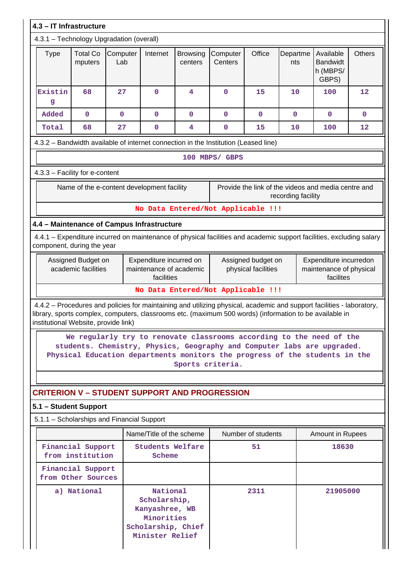| 4.3 - IT Infrastructure                                                                                                                                                                                                                                                  |                                           |                 |                                                                                                   |                            |                                                                                                                                                                                                                                |                                           |                 |                                                                |             |  |  |
|--------------------------------------------------------------------------------------------------------------------------------------------------------------------------------------------------------------------------------------------------------------------------|-------------------------------------------|-----------------|---------------------------------------------------------------------------------------------------|----------------------------|--------------------------------------------------------------------------------------------------------------------------------------------------------------------------------------------------------------------------------|-------------------------------------------|-----------------|----------------------------------------------------------------|-------------|--|--|
| 4.3.1 - Technology Upgradation (overall)                                                                                                                                                                                                                                 |                                           |                 |                                                                                                   |                            |                                                                                                                                                                                                                                |                                           |                 |                                                                |             |  |  |
| <b>Type</b>                                                                                                                                                                                                                                                              | <b>Total Co</b><br>mputers                | Computer<br>Lab | Internet                                                                                          | <b>Browsing</b><br>centers | Computer<br>Centers                                                                                                                                                                                                            | Office                                    | Departme<br>nts | Available<br><b>Bandwidt</b><br>h (MBPS/<br>GBPS)              | Others      |  |  |
| Existin<br>g                                                                                                                                                                                                                                                             | 68                                        | 27              | $\mathbf 0$                                                                                       | 4                          | $\mathbf 0$                                                                                                                                                                                                                    | 15                                        | 10              | 100                                                            | 12          |  |  |
| Added                                                                                                                                                                                                                                                                    | $\mathbf 0$                               | $\mathbf 0$     | $\mathbf 0$                                                                                       | $\mathbf 0$                | $\mathbf 0$                                                                                                                                                                                                                    | 0                                         | $\mathbf{0}$    | $\mathbf 0$                                                    | $\mathbf 0$ |  |  |
| Total                                                                                                                                                                                                                                                                    | 68                                        | 27              | $\mathbf 0$                                                                                       | 4                          | 0                                                                                                                                                                                                                              | 15                                        | 10              | 100                                                            | 12          |  |  |
| 4.3.2 - Bandwidth available of internet connection in the Institution (Leased line)                                                                                                                                                                                      |                                           |                 |                                                                                                   |                            |                                                                                                                                                                                                                                |                                           |                 |                                                                |             |  |  |
| 100 MBPS/ GBPS                                                                                                                                                                                                                                                           |                                           |                 |                                                                                                   |                            |                                                                                                                                                                                                                                |                                           |                 |                                                                |             |  |  |
| 4.3.3 - Facility for e-content                                                                                                                                                                                                                                           |                                           |                 |                                                                                                   |                            |                                                                                                                                                                                                                                |                                           |                 |                                                                |             |  |  |
| Provide the link of the videos and media centre and<br>Name of the e-content development facility<br>recording facility                                                                                                                                                  |                                           |                 |                                                                                                   |                            |                                                                                                                                                                                                                                |                                           |                 |                                                                |             |  |  |
|                                                                                                                                                                                                                                                                          |                                           |                 |                                                                                                   |                            | No Data Entered/Not Applicable !!!                                                                                                                                                                                             |                                           |                 |                                                                |             |  |  |
| 4.4 - Maintenance of Campus Infrastructure                                                                                                                                                                                                                               |                                           |                 |                                                                                                   |                            |                                                                                                                                                                                                                                |                                           |                 |                                                                |             |  |  |
| 4.4.1 – Expenditure incurred on maintenance of physical facilities and academic support facilities, excluding salary<br>component, during the year                                                                                                                       |                                           |                 |                                                                                                   |                            |                                                                                                                                                                                                                                |                                           |                 |                                                                |             |  |  |
|                                                                                                                                                                                                                                                                          | Assigned Budget on<br>academic facilities |                 | Expenditure incurred on<br>maintenance of academic<br>facilities                                  |                            |                                                                                                                                                                                                                                | Assigned budget on<br>physical facilities |                 | Expenditure incurredon<br>maintenance of physical<br>facilites |             |  |  |
|                                                                                                                                                                                                                                                                          |                                           |                 |                                                                                                   |                            | No Data Entered/Not Applicable !!!                                                                                                                                                                                             |                                           |                 |                                                                |             |  |  |
| 4.4.2 - Procedures and policies for maintaining and utilizing physical, academic and support facilities - laboratory,<br>library, sports complex, computers, classrooms etc. (maximum 500 words) (information to be available in<br>institutional Website, provide link) |                                           |                 |                                                                                                   |                            |                                                                                                                                                                                                                                |                                           |                 |                                                                |             |  |  |
|                                                                                                                                                                                                                                                                          |                                           |                 |                                                                                                   | Sports criteria.           | We regularly try to renovate classrooms according to the need of the<br>students. Chemistry, Physics, Geography and Computer labs are upgraded.<br>Physical Education departments monitors the progress of the students in the |                                           |                 |                                                                |             |  |  |
| <b>CRITERION V - STUDENT SUPPORT AND PROGRESSION</b>                                                                                                                                                                                                                     |                                           |                 |                                                                                                   |                            |                                                                                                                                                                                                                                |                                           |                 |                                                                |             |  |  |
| 5.1 - Student Support                                                                                                                                                                                                                                                    |                                           |                 |                                                                                                   |                            |                                                                                                                                                                                                                                |                                           |                 |                                                                |             |  |  |
| 5.1.1 - Scholarships and Financial Support                                                                                                                                                                                                                               |                                           |                 |                                                                                                   |                            |                                                                                                                                                                                                                                |                                           |                 |                                                                |             |  |  |
|                                                                                                                                                                                                                                                                          |                                           |                 | Name/Title of the scheme                                                                          |                            |                                                                                                                                                                                                                                | Number of students                        |                 | Amount in Rupees                                               |             |  |  |
|                                                                                                                                                                                                                                                                          | Financial Support<br>from institution     |                 | Students Welfare<br>Scheme                                                                        |                            |                                                                                                                                                                                                                                | 51                                        |                 | 18630                                                          |             |  |  |
|                                                                                                                                                                                                                                                                          | Financial Support<br>from Other Sources   |                 |                                                                                                   |                            |                                                                                                                                                                                                                                |                                           |                 |                                                                |             |  |  |
|                                                                                                                                                                                                                                                                          | a) National                               |                 | National<br>Scholarship,<br>Kanyashree, WB<br>Minorities<br>Scholarship, Chief<br>Minister Relief |                            |                                                                                                                                                                                                                                | 2311                                      |                 | 21905000                                                       |             |  |  |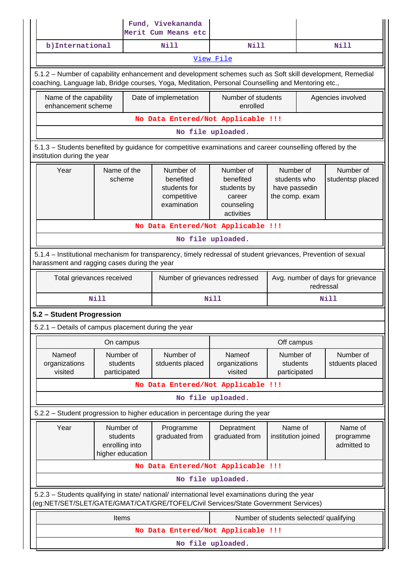|                                                                                                                                                                                                                 |                                                             | Fund, Vivekananda<br>Merit Cum Means etc                             |                                                                             |                                                              |                                     |
|-----------------------------------------------------------------------------------------------------------------------------------------------------------------------------------------------------------------|-------------------------------------------------------------|----------------------------------------------------------------------|-----------------------------------------------------------------------------|--------------------------------------------------------------|-------------------------------------|
| b) International                                                                                                                                                                                                |                                                             | Nill                                                                 | Nill                                                                        |                                                              | Nill                                |
|                                                                                                                                                                                                                 |                                                             |                                                                      | View File                                                                   |                                                              |                                     |
| 5.1.2 – Number of capability enhancement and development schemes such as Soft skill development, Remedial<br>coaching, Language lab, Bridge courses, Yoga, Meditation, Personal Counselling and Mentoring etc., |                                                             |                                                                      |                                                                             |                                                              |                                     |
| Name of the capability<br>enhancement scheme                                                                                                                                                                    |                                                             | Date of implemetation                                                | Number of students<br>enrolled                                              |                                                              | Agencies involved                   |
|                                                                                                                                                                                                                 |                                                             | No Data Entered/Not Applicable !!!                                   |                                                                             |                                                              |                                     |
|                                                                                                                                                                                                                 |                                                             |                                                                      | No file uploaded.                                                           |                                                              |                                     |
| 5.1.3 – Students benefited by guidance for competitive examinations and career counselling offered by the<br>institution during the year                                                                        |                                                             |                                                                      |                                                                             |                                                              |                                     |
| Year                                                                                                                                                                                                            | Name of the<br>scheme                                       | Number of<br>benefited<br>students for<br>competitive<br>examination | Number of<br>benefited<br>students by<br>career<br>counseling<br>activities | Number of<br>students who<br>have passedin<br>the comp. exam | Number of<br>studentsp placed       |
|                                                                                                                                                                                                                 |                                                             | No Data Entered/Not Applicable !!!                                   |                                                                             |                                                              |                                     |
|                                                                                                                                                                                                                 |                                                             |                                                                      | No file uploaded.                                                           |                                                              |                                     |
| 5.1.4 – Institutional mechanism for transparency, timely redressal of student grievances, Prevention of sexual<br>harassment and ragging cases during the year                                                  |                                                             |                                                                      |                                                                             |                                                              |                                     |
| Total grievances received                                                                                                                                                                                       |                                                             | Number of grievances redressed                                       |                                                                             | Avg. number of days for grievance<br>redressal               |                                     |
|                                                                                                                                                                                                                 | <b>Nill</b>                                                 |                                                                      | Nill                                                                        |                                                              | Nill                                |
| 5.2 - Student Progression                                                                                                                                                                                       |                                                             |                                                                      |                                                                             |                                                              |                                     |
| 5.2.1 - Details of campus placement during the year                                                                                                                                                             |                                                             |                                                                      |                                                                             |                                                              |                                     |
|                                                                                                                                                                                                                 | On campus                                                   |                                                                      |                                                                             | Off campus                                                   |                                     |
| Nameof<br>organizations<br>visited                                                                                                                                                                              | Number of<br>students<br>participated                       | Number of<br>stduents placed                                         | Nameof<br>organizations<br>visited                                          | Number of<br>students<br>participated                        | Number of<br>stduents placed        |
|                                                                                                                                                                                                                 |                                                             | No Data Entered/Not Applicable !!!                                   |                                                                             |                                                              |                                     |
|                                                                                                                                                                                                                 |                                                             |                                                                      | No file uploaded.                                                           |                                                              |                                     |
| 5.2.2 - Student progression to higher education in percentage during the year                                                                                                                                   |                                                             |                                                                      |                                                                             |                                                              |                                     |
| Year                                                                                                                                                                                                            | Number of<br>students<br>enrolling into<br>higher education | Programme<br>graduated from                                          | Depratment<br>graduated from                                                | Name of<br>institution joined                                | Name of<br>programme<br>admitted to |
|                                                                                                                                                                                                                 |                                                             | No Data Entered/Not Applicable !!!                                   |                                                                             |                                                              |                                     |
|                                                                                                                                                                                                                 |                                                             |                                                                      | No file uploaded.                                                           |                                                              |                                     |
| 5.2.3 - Students qualifying in state/ national/ international level examinations during the year<br>(eg:NET/SET/SLET/GATE/GMAT/CAT/GRE/TOFEL/Civil Services/State Government Services)                          |                                                             |                                                                      |                                                                             |                                                              |                                     |
|                                                                                                                                                                                                                 | Items                                                       |                                                                      |                                                                             | Number of students selected/ qualifying                      |                                     |
|                                                                                                                                                                                                                 |                                                             | No Data Entered/Not Applicable !!!                                   |                                                                             |                                                              |                                     |
|                                                                                                                                                                                                                 |                                                             |                                                                      | No file uploaded.                                                           |                                                              |                                     |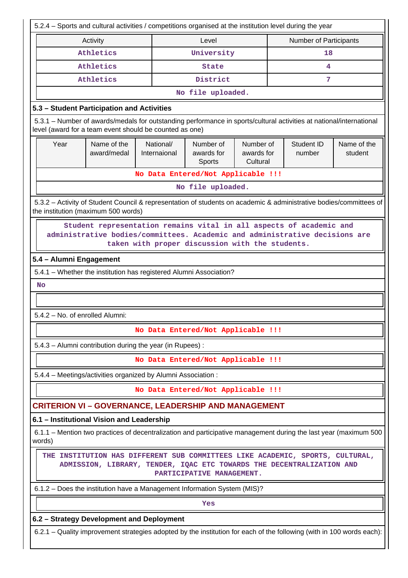| 5.2.4 - Sports and cultural activities / competitions organised at the institution level during the year                                                                                              |                                                                                                                                                           |                                    |                                                                          |  |                               |                      |                        |  |  |  |  |
|-------------------------------------------------------------------------------------------------------------------------------------------------------------------------------------------------------|-----------------------------------------------------------------------------------------------------------------------------------------------------------|------------------------------------|--------------------------------------------------------------------------|--|-------------------------------|----------------------|------------------------|--|--|--|--|
|                                                                                                                                                                                                       | Activity                                                                                                                                                  |                                    | Level                                                                    |  | <b>Number of Participants</b> |                      |                        |  |  |  |  |
|                                                                                                                                                                                                       | Athletics                                                                                                                                                 |                                    | University                                                               |  |                               | 18                   |                        |  |  |  |  |
|                                                                                                                                                                                                       | Athletics                                                                                                                                                 |                                    | <b>State</b>                                                             |  | 4                             |                      |                        |  |  |  |  |
|                                                                                                                                                                                                       | Athletics                                                                                                                                                 |                                    | District<br>7                                                            |  |                               |                      |                        |  |  |  |  |
|                                                                                                                                                                                                       |                                                                                                                                                           |                                    | No file uploaded.                                                        |  |                               |                      |                        |  |  |  |  |
| 5.3 - Student Participation and Activities                                                                                                                                                            |                                                                                                                                                           |                                    |                                                                          |  |                               |                      |                        |  |  |  |  |
| 5.3.1 - Number of awards/medals for outstanding performance in sports/cultural activities at national/international<br>level (award for a team event should be counted as one)                        |                                                                                                                                                           |                                    |                                                                          |  |                               |                      |                        |  |  |  |  |
| Year                                                                                                                                                                                                  | Name of the<br>award/medal                                                                                                                                | National/<br>Internaional          | Number of<br>Number of<br>awards for<br>awards for<br>Cultural<br>Sports |  |                               | Student ID<br>number | Name of the<br>student |  |  |  |  |
|                                                                                                                                                                                                       |                                                                                                                                                           | No Data Entered/Not Applicable !!! |                                                                          |  |                               |                      |                        |  |  |  |  |
|                                                                                                                                                                                                       |                                                                                                                                                           |                                    | No file uploaded.                                                        |  |                               |                      |                        |  |  |  |  |
|                                                                                                                                                                                                       | 5.3.2 - Activity of Student Council & representation of students on academic & administrative bodies/committees of<br>the institution (maximum 500 words) |                                    |                                                                          |  |                               |                      |                        |  |  |  |  |
| Student representation remains vital in all aspects of academic and<br>administrative bodies/committees. Academic and administrative decisions are<br>taken with proper discussion with the students. |                                                                                                                                                           |                                    |                                                                          |  |                               |                      |                        |  |  |  |  |
| 5.4 - Alumni Engagement                                                                                                                                                                               |                                                                                                                                                           |                                    |                                                                          |  |                               |                      |                        |  |  |  |  |
|                                                                                                                                                                                                       | 5.4.1 - Whether the institution has registered Alumni Association?                                                                                        |                                    |                                                                          |  |                               |                      |                        |  |  |  |  |
| <b>No</b>                                                                                                                                                                                             |                                                                                                                                                           |                                    |                                                                          |  |                               |                      |                        |  |  |  |  |
|                                                                                                                                                                                                       |                                                                                                                                                           |                                    |                                                                          |  |                               |                      |                        |  |  |  |  |
|                                                                                                                                                                                                       | 5.4.2 - No. of enrolled Alumni:                                                                                                                           |                                    |                                                                          |  |                               |                      |                        |  |  |  |  |
|                                                                                                                                                                                                       |                                                                                                                                                           | No Data Entered/Not Applicable !!! |                                                                          |  |                               |                      |                        |  |  |  |  |
|                                                                                                                                                                                                       | 5.4.3 - Alumni contribution during the year (in Rupees):                                                                                                  |                                    |                                                                          |  |                               |                      |                        |  |  |  |  |
|                                                                                                                                                                                                       |                                                                                                                                                           | No Data Entered/Not Applicable !!! |                                                                          |  |                               |                      |                        |  |  |  |  |
|                                                                                                                                                                                                       | 5.4.4 - Meetings/activities organized by Alumni Association :                                                                                             |                                    |                                                                          |  |                               |                      |                        |  |  |  |  |
|                                                                                                                                                                                                       |                                                                                                                                                           | No Data Entered/Not Applicable !!! |                                                                          |  |                               |                      |                        |  |  |  |  |
|                                                                                                                                                                                                       | <b>CRITERION VI - GOVERNANCE, LEADERSHIP AND MANAGEMENT</b>                                                                                               |                                    |                                                                          |  |                               |                      |                        |  |  |  |  |
|                                                                                                                                                                                                       | 6.1 - Institutional Vision and Leadership                                                                                                                 |                                    |                                                                          |  |                               |                      |                        |  |  |  |  |
| words)                                                                                                                                                                                                | 6.1.1 – Mention two practices of decentralization and participative management during the last year (maximum 500                                          |                                    |                                                                          |  |                               |                      |                        |  |  |  |  |
|                                                                                                                                                                                                       | THE INSTITUTION HAS DIFFERENT SUB COMMITTEES LIKE ACADEMIC, SPORTS, CULTURAL,<br>ADMISSION, LIBRARY, TENDER, IQAC ETC TOWARDS THE DECENTRALIZATION AND    |                                    | PARTICIPATIVE MANAGEMENT.                                                |  |                               |                      |                        |  |  |  |  |
|                                                                                                                                                                                                       | 6.1.2 - Does the institution have a Management Information System (MIS)?                                                                                  |                                    |                                                                          |  |                               |                      |                        |  |  |  |  |
|                                                                                                                                                                                                       |                                                                                                                                                           |                                    | Yes                                                                      |  |                               |                      |                        |  |  |  |  |
|                                                                                                                                                                                                       | 6.2 - Strategy Development and Deployment                                                                                                                 |                                    |                                                                          |  |                               |                      |                        |  |  |  |  |
|                                                                                                                                                                                                       | 6.2.1 - Quality improvement strategies adopted by the institution for each of the following (with in 100 words each):                                     |                                    |                                                                          |  |                               |                      |                        |  |  |  |  |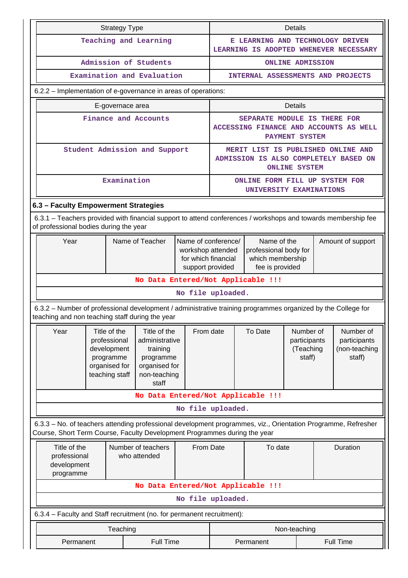|                                                                                                                                                                                            |                                                                                                | <b>Strategy Type</b>                                                                        |                                                                                                   |                                         | Details                                                                                                                                      |                                                           |                                                  |  |                                                      |  |
|--------------------------------------------------------------------------------------------------------------------------------------------------------------------------------------------|------------------------------------------------------------------------------------------------|---------------------------------------------------------------------------------------------|---------------------------------------------------------------------------------------------------|-----------------------------------------|----------------------------------------------------------------------------------------------------------------------------------------------|-----------------------------------------------------------|--------------------------------------------------|--|------------------------------------------------------|--|
|                                                                                                                                                                                            |                                                                                                |                                                                                             | Teaching and Learning                                                                             |                                         |                                                                                                                                              | E LEARNING AND TECHNOLOGY DRIVEN                          |                                                  |  | LEARNING IS ADOPTED WHENEVER NECESSARY               |  |
|                                                                                                                                                                                            |                                                                                                |                                                                                             | Admission of Students                                                                             |                                         |                                                                                                                                              |                                                           | <b>ONLINE ADMISSION</b>                          |  |                                                      |  |
|                                                                                                                                                                                            |                                                                                                |                                                                                             | Examination and Evaluation                                                                        |                                         | INTERNAL ASSESSMENTS AND PROJECTS                                                                                                            |                                                           |                                                  |  |                                                      |  |
| 6.2.2 – Implementation of e-governance in areas of operations:                                                                                                                             |                                                                                                |                                                                                             |                                                                                                   |                                         |                                                                                                                                              |                                                           |                                                  |  |                                                      |  |
|                                                                                                                                                                                            |                                                                                                | E-governace area                                                                            |                                                                                                   |                                         | <b>Details</b>                                                                                                                               |                                                           |                                                  |  |                                                      |  |
|                                                                                                                                                                                            |                                                                                                |                                                                                             | Finance and Accounts                                                                              |                                         |                                                                                                                                              | SEPARATE MODULE IS THERE FOR                              | PAYMENT SYSTEM                                   |  | ACCESSING FINANCE AND ACCOUNTS AS WELL               |  |
|                                                                                                                                                                                            |                                                                                                |                                                                                             | Student Admission and Support                                                                     |                                         |                                                                                                                                              | MERIT LIST IS PUBLISHED ONLINE AND                        | <b>ONLINE SYSTEM</b>                             |  | ADMISSION IS ALSO COMPLETELY BASED ON                |  |
|                                                                                                                                                                                            |                                                                                                | Examination                                                                                 |                                                                                                   |                                         |                                                                                                                                              | ONLINE FORM FILL UP SYSTEM FOR<br>UNIVERSITY EXAMINATIONS |                                                  |  |                                                      |  |
| 6.3 - Faculty Empowerment Strategies                                                                                                                                                       |                                                                                                |                                                                                             |                                                                                                   |                                         |                                                                                                                                              |                                                           |                                                  |  |                                                      |  |
| 6.3.1 - Teachers provided with financial support to attend conferences / workshops and towards membership fee<br>of professional bodies during the year                                    |                                                                                                |                                                                                             |                                                                                                   |                                         |                                                                                                                                              |                                                           |                                                  |  |                                                      |  |
| Name of Teacher<br>Year                                                                                                                                                                    |                                                                                                |                                                                                             |                                                                                                   | for which financial<br>support provided | Name of the<br>Name of conference/<br>Amount of support<br>workshop attended<br>professional body for<br>which membership<br>fee is provided |                                                           |                                                  |  |                                                      |  |
|                                                                                                                                                                                            |                                                                                                |                                                                                             | No Data Entered/Not Applicable !!!                                                                |                                         |                                                                                                                                              |                                                           |                                                  |  |                                                      |  |
|                                                                                                                                                                                            |                                                                                                |                                                                                             |                                                                                                   | No file uploaded.                       |                                                                                                                                              |                                                           |                                                  |  |                                                      |  |
| 6.3.2 - Number of professional development / administrative training programmes organized by the College for<br>teaching and non teaching staff during the year                            |                                                                                                |                                                                                             |                                                                                                   |                                         |                                                                                                                                              |                                                           |                                                  |  |                                                      |  |
| Year                                                                                                                                                                                       |                                                                                                | Title of the<br>professional<br>development<br>programme<br>organised for<br>teaching staff | Title of the<br>administrative<br>training<br>programme<br>organised for<br>non-teaching<br>staff | From date                               |                                                                                                                                              | To Date                                                   | Number of<br>participants<br>(Teaching<br>staff) |  | Number of<br>participants<br>(non-teaching<br>staff) |  |
|                                                                                                                                                                                            |                                                                                                |                                                                                             | No Data Entered/Not Applicable !!!                                                                |                                         |                                                                                                                                              |                                                           |                                                  |  |                                                      |  |
|                                                                                                                                                                                            |                                                                                                |                                                                                             |                                                                                                   | No file uploaded.                       |                                                                                                                                              |                                                           |                                                  |  |                                                      |  |
| 6.3.3 - No. of teachers attending professional development programmes, viz., Orientation Programme, Refresher<br>Course, Short Term Course, Faculty Development Programmes during the year |                                                                                                |                                                                                             |                                                                                                   |                                         |                                                                                                                                              |                                                           |                                                  |  |                                                      |  |
|                                                                                                                                                                                            | Title of the<br>Number of teachers<br>professional<br>who attended<br>development<br>programme |                                                                                             | From Date                                                                                         |                                         | To date                                                                                                                                      |                                                           | Duration                                         |  |                                                      |  |
|                                                                                                                                                                                            |                                                                                                |                                                                                             | No Data Entered/Not Applicable !!!                                                                |                                         |                                                                                                                                              |                                                           |                                                  |  |                                                      |  |
|                                                                                                                                                                                            |                                                                                                |                                                                                             |                                                                                                   | No file uploaded.                       |                                                                                                                                              |                                                           |                                                  |  |                                                      |  |
| 6.3.4 - Faculty and Staff recruitment (no. for permanent recruitment):                                                                                                                     |                                                                                                |                                                                                             |                                                                                                   |                                         |                                                                                                                                              |                                                           |                                                  |  |                                                      |  |
|                                                                                                                                                                                            |                                                                                                | Teaching                                                                                    |                                                                                                   |                                         |                                                                                                                                              |                                                           | Non-teaching                                     |  |                                                      |  |
| Permanent                                                                                                                                                                                  |                                                                                                |                                                                                             | <b>Full Time</b>                                                                                  |                                         |                                                                                                                                              | Permanent                                                 |                                                  |  | <b>Full Time</b>                                     |  |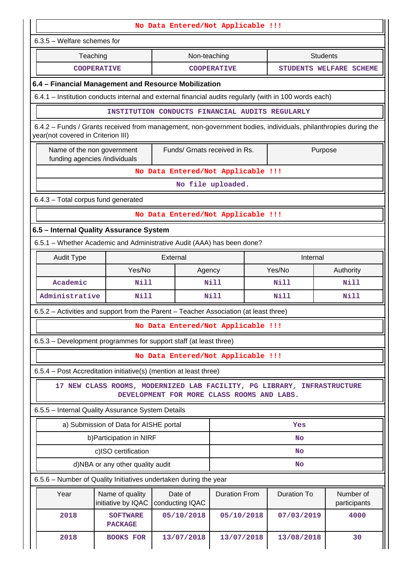| No Data Entered/Not Applicable !!!                                                                                                                   |                                        |                               |                                                                                                                       |                    |                           |  |  |  |  |  |
|------------------------------------------------------------------------------------------------------------------------------------------------------|----------------------------------------|-------------------------------|-----------------------------------------------------------------------------------------------------------------------|--------------------|---------------------------|--|--|--|--|--|
| $6.3.5$ – Welfare schemes for                                                                                                                        |                                        |                               |                                                                                                                       |                    |                           |  |  |  |  |  |
| Teaching                                                                                                                                             |                                        | Non-teaching                  |                                                                                                                       |                    | <b>Students</b>           |  |  |  |  |  |
|                                                                                                                                                      | <b>COOPERATIVE</b>                     |                               | <b>COOPERATIVE</b>                                                                                                    |                    | STUDENTS WELFARE SCHEME   |  |  |  |  |  |
| 6.4 - Financial Management and Resource Mobilization                                                                                                 |                                        |                               |                                                                                                                       |                    |                           |  |  |  |  |  |
| 6.4.1 – Institution conducts internal and external financial audits regularly (with in 100 words each)                                               |                                        |                               |                                                                                                                       |                    |                           |  |  |  |  |  |
|                                                                                                                                                      |                                        |                               | INSTITUTION CONDUCTS FINANCIAL AUDITS REGULARLY                                                                       |                    |                           |  |  |  |  |  |
| 6.4.2 – Funds / Grants received from management, non-government bodies, individuals, philanthropies during the<br>year(not covered in Criterion III) |                                        |                               |                                                                                                                       |                    |                           |  |  |  |  |  |
| Name of the non government<br>funding agencies /individuals                                                                                          |                                        | Funds/ Grnats received in Rs. |                                                                                                                       |                    | Purpose                   |  |  |  |  |  |
|                                                                                                                                                      |                                        |                               | No Data Entered/Not Applicable !!!                                                                                    |                    |                           |  |  |  |  |  |
|                                                                                                                                                      |                                        |                               | No file uploaded.                                                                                                     |                    |                           |  |  |  |  |  |
| 6.4.3 - Total corpus fund generated                                                                                                                  |                                        |                               |                                                                                                                       |                    |                           |  |  |  |  |  |
|                                                                                                                                                      |                                        |                               | No Data Entered/Not Applicable !!!                                                                                    |                    |                           |  |  |  |  |  |
| 6.5 - Internal Quality Assurance System                                                                                                              |                                        |                               |                                                                                                                       |                    |                           |  |  |  |  |  |
| 6.5.1 - Whether Academic and Administrative Audit (AAA) has been done?                                                                               |                                        |                               |                                                                                                                       |                    |                           |  |  |  |  |  |
| <b>Audit Type</b>                                                                                                                                    |                                        | External                      |                                                                                                                       | Internal           |                           |  |  |  |  |  |
|                                                                                                                                                      | Yes/No                                 | Agency                        |                                                                                                                       | Yes/No             | Authority                 |  |  |  |  |  |
| Academic                                                                                                                                             | Nill                                   |                               | Nill                                                                                                                  | Nill               | Nill                      |  |  |  |  |  |
| Administrative                                                                                                                                       | <b>Nill</b>                            |                               | <b>Nill</b>                                                                                                           | <b>Nill</b>        | <b>Nill</b>               |  |  |  |  |  |
| 6.5.2 - Activities and support from the Parent - Teacher Association (at least three)                                                                |                                        |                               |                                                                                                                       |                    |                           |  |  |  |  |  |
|                                                                                                                                                      |                                        |                               | No Data Entered/Not Applicable !!!                                                                                    |                    |                           |  |  |  |  |  |
| 6.5.3 – Development programmes for support staff (at least three)                                                                                    |                                        |                               |                                                                                                                       |                    |                           |  |  |  |  |  |
|                                                                                                                                                      |                                        |                               | No Data Entered/Not Applicable !!!                                                                                    |                    |                           |  |  |  |  |  |
| 6.5.4 - Post Accreditation initiative(s) (mention at least three)                                                                                    |                                        |                               |                                                                                                                       |                    |                           |  |  |  |  |  |
|                                                                                                                                                      |                                        |                               | 17 NEW CLASS ROOMS, MODERNIZED LAB FACILITY, PG LIBRARY, INFRASTRUCTURE<br>DEVELOPMENT FOR MORE CLASS ROOMS AND LABS. |                    |                           |  |  |  |  |  |
| 6.5.5 - Internal Quality Assurance System Details                                                                                                    |                                        |                               |                                                                                                                       |                    |                           |  |  |  |  |  |
|                                                                                                                                                      | a) Submission of Data for AISHE portal |                               |                                                                                                                       | Yes                |                           |  |  |  |  |  |
|                                                                                                                                                      | b) Participation in NIRF               |                               |                                                                                                                       | No                 |                           |  |  |  |  |  |
|                                                                                                                                                      | c)ISO certification                    |                               |                                                                                                                       | <b>No</b>          |                           |  |  |  |  |  |
|                                                                                                                                                      | d)NBA or any other quality audit       |                               |                                                                                                                       | No                 |                           |  |  |  |  |  |
| 6.5.6 - Number of Quality Initiatives undertaken during the year                                                                                     |                                        |                               |                                                                                                                       |                    |                           |  |  |  |  |  |
| Year                                                                                                                                                 | Name of quality<br>initiative by IQAC  | Date of<br>conducting IQAC    | <b>Duration From</b>                                                                                                  | <b>Duration To</b> | Number of<br>participants |  |  |  |  |  |
| 2018                                                                                                                                                 | <b>SOFTWARE</b><br><b>PACKAGE</b>      | 05/10/2018                    | 05/10/2018                                                                                                            | 07/03/2019         | 4000                      |  |  |  |  |  |
| 2018                                                                                                                                                 | <b>BOOKS FOR</b>                       | 13/07/2018                    | 13/07/2018                                                                                                            | 13/08/2018         | 30                        |  |  |  |  |  |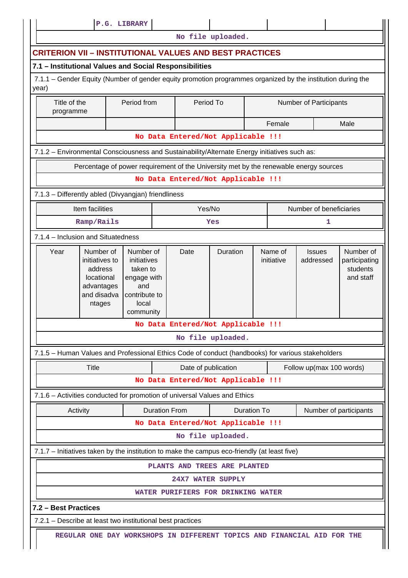|                                                                                                                      |                                                                                                                         |  | P.G. LIBRARY                                                                  |                      |                     |                                                                                       |                       |                         |                            |                                                     |  |
|----------------------------------------------------------------------------------------------------------------------|-------------------------------------------------------------------------------------------------------------------------|--|-------------------------------------------------------------------------------|----------------------|---------------------|---------------------------------------------------------------------------------------|-----------------------|-------------------------|----------------------------|-----------------------------------------------------|--|
|                                                                                                                      |                                                                                                                         |  |                                                                               |                      |                     | No file uploaded.                                                                     |                       |                         |                            |                                                     |  |
| <b>CRITERION VII - INSTITUTIONAL VALUES AND BEST PRACTICES</b>                                                       |                                                                                                                         |  |                                                                               |                      |                     |                                                                                       |                       |                         |                            |                                                     |  |
| 7.1 - Institutional Values and Social Responsibilities                                                               |                                                                                                                         |  |                                                                               |                      |                     |                                                                                       |                       |                         |                            |                                                     |  |
| 7.1.1 – Gender Equity (Number of gender equity promotion programmes organized by the institution during the<br>year) |                                                                                                                         |  |                                                                               |                      |                     |                                                                                       |                       |                         |                            |                                                     |  |
| Title of the<br>programme                                                                                            |                                                                                                                         |  | Period from                                                                   |                      | Period To           |                                                                                       |                       |                         | Number of Participants     |                                                     |  |
|                                                                                                                      |                                                                                                                         |  |                                                                               |                      |                     |                                                                                       |                       | Female                  |                            | Male                                                |  |
|                                                                                                                      |                                                                                                                         |  |                                                                               |                      |                     | No Data Entered/Not Applicable !!!                                                    |                       |                         |                            |                                                     |  |
| 7.1.2 - Environmental Consciousness and Sustainability/Alternate Energy initiatives such as:                         |                                                                                                                         |  |                                                                               |                      |                     |                                                                                       |                       |                         |                            |                                                     |  |
|                                                                                                                      |                                                                                                                         |  |                                                                               |                      |                     | Percentage of power requirement of the University met by the renewable energy sources |                       |                         |                            |                                                     |  |
|                                                                                                                      |                                                                                                                         |  |                                                                               |                      |                     | No Data Entered/Not Applicable !!!                                                    |                       |                         |                            |                                                     |  |
| 7.1.3 - Differently abled (Divyangjan) friendliness                                                                  |                                                                                                                         |  |                                                                               |                      |                     |                                                                                       |                       |                         |                            |                                                     |  |
| Item facilities                                                                                                      |                                                                                                                         |  |                                                                               | Yes/No               |                     |                                                                                       |                       | Number of beneficiaries |                            |                                                     |  |
|                                                                                                                      | Ramp/Rails                                                                                                              |  |                                                                               |                      |                     | Yes                                                                                   |                       |                         | 1                          |                                                     |  |
| 7.1.4 - Inclusion and Situatedness                                                                                   |                                                                                                                         |  |                                                                               |                      |                     |                                                                                       |                       |                         |                            |                                                     |  |
|                                                                                                                      | Year<br>Number of<br>Number of<br>initiatives to<br>address<br>locational<br>and<br>advantages<br>and disadva<br>ntages |  | initiatives<br>taken to<br>engage with<br>contribute to<br>local<br>community |                      | Date                | Duration                                                                              | Name of<br>initiative |                         | <b>Issues</b><br>addressed | Number of<br>participating<br>students<br>and staff |  |
|                                                                                                                      |                                                                                                                         |  |                                                                               |                      |                     | No Data Entered/Not Applicable !!!                                                    |                       |                         |                            |                                                     |  |
|                                                                                                                      |                                                                                                                         |  |                                                                               |                      |                     | No file uploaded.                                                                     |                       |                         |                            |                                                     |  |
| 7.1.5 - Human Values and Professional Ethics Code of conduct (handbooks) for various stakeholders                    |                                                                                                                         |  |                                                                               |                      |                     |                                                                                       |                       |                         |                            |                                                     |  |
|                                                                                                                      | Title                                                                                                                   |  |                                                                               |                      | Date of publication |                                                                                       |                       |                         | Follow up(max 100 words)   |                                                     |  |
|                                                                                                                      |                                                                                                                         |  |                                                                               |                      |                     | No Data Entered/Not Applicable !!!                                                    |                       |                         |                            |                                                     |  |
| 7.1.6 - Activities conducted for promotion of universal Values and Ethics                                            |                                                                                                                         |  |                                                                               |                      |                     |                                                                                       |                       |                         |                            |                                                     |  |
| Activity                                                                                                             |                                                                                                                         |  |                                                                               | <b>Duration From</b> |                     | Duration To                                                                           |                       |                         |                            | Number of participants                              |  |
|                                                                                                                      |                                                                                                                         |  |                                                                               |                      |                     | No Data Entered/Not Applicable !!!                                                    |                       |                         |                            |                                                     |  |
|                                                                                                                      |                                                                                                                         |  |                                                                               |                      |                     | No file uploaded.                                                                     |                       |                         |                            |                                                     |  |
| 7.1.7 - Initiatives taken by the institution to make the campus eco-friendly (at least five)                         |                                                                                                                         |  |                                                                               |                      |                     |                                                                                       |                       |                         |                            |                                                     |  |
|                                                                                                                      |                                                                                                                         |  |                                                                               |                      |                     | PLANTS AND TREES ARE PLANTED                                                          |                       |                         |                            |                                                     |  |
|                                                                                                                      |                                                                                                                         |  |                                                                               |                      |                     | 24X7 WATER SUPPLY                                                                     |                       |                         |                            |                                                     |  |
|                                                                                                                      |                                                                                                                         |  |                                                                               |                      |                     | WATER PURIFIERS FOR DRINKING WATER                                                    |                       |                         |                            |                                                     |  |
| 7.2 - Best Practices                                                                                                 |                                                                                                                         |  |                                                                               |                      |                     |                                                                                       |                       |                         |                            |                                                     |  |
| 7.2.1 - Describe at least two institutional best practices                                                           |                                                                                                                         |  |                                                                               |                      |                     |                                                                                       |                       |                         |                            |                                                     |  |
|                                                                                                                      |                                                                                                                         |  |                                                                               |                      |                     | REGULAR ONE DAY WORKSHOPS IN DIFFERENT TOPICS AND FINANCIAL AID FOR THE               |                       |                         |                            |                                                     |  |